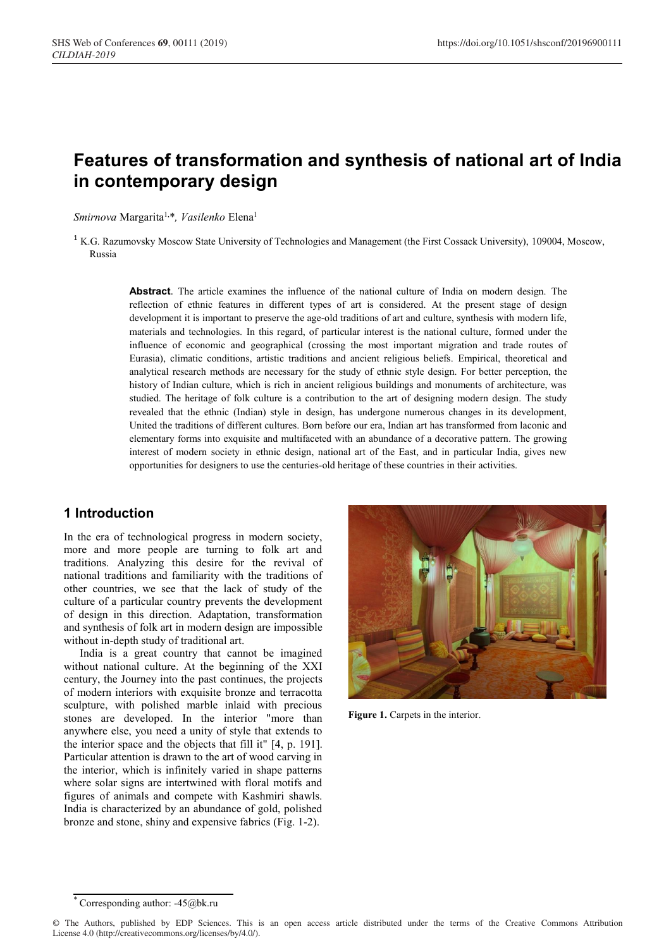# **Features of transformation and synthesis of national art of India in contemporary design**

*Smirnova* Margarita1, \**, Vasilenko* Elena1

<sup>1</sup> K.G. Razumovsky Moscow State University of Technologies and Management (the First Cossack University), 109004, Moscow, Russia

> **Abstract**. The article examines the influence of the national culture of India on modern design. The reflection of ethnic features in different types of art is considered. At the present stage of design development it is important to preserve the age-old traditions of art and culture, synthesis with modern life, materials and technologies. In this regard, of particular interest is the national culture, formed under the influence of economic and geographical (crossing the most important migration and trade routes of Eurasia), climatic conditions, artistic traditions and ancient religious beliefs. Empirical, theoretical and analytical research methods are necessary for the study of ethnic style design. For better perception, the history of Indian culture, which is rich in ancient religious buildings and monuments of architecture, was studied. The heritage of folk culture is a contribution to the art of designing modern design. The study revealed that the ethnic (Indian) style in design, has undergone numerous changes in its development, United the traditions of different cultures. Born before our era, Indian art has transformed from laconic and elementary forms into exquisite and multifaceted with an abundance of a decorative pattern. The growing interest of modern society in ethnic design, national art of the East, and in particular India, gives new opportunities for designers to use the centuries-old heritage of these countries in their activities.

#### **1 Introduction**

In the era of technological progress in modern society, more and more people are turning to folk art and traditions. Analyzing this desire for the revival of national traditions and familiarity with the traditions of other countries, we see that the lack of study of the culture of a particular country prevents the development of design in this direction. Adaptation, transformation and synthesis of folk art in modern design are impossible without in-depth study of traditional art.

India is a great country that cannot be imagined without national culture. At the beginning of the XXI century, the Journey into the past continues, the projects of modern interiors with exquisite bronze and terracotta sculpture, with polished marble inlaid with precious stones are developed. In the interior "more than anywhere else, you need a unity of style that extends to the interior space and the objects that fill it" [4, p. 191]. Particular attention is drawn to the art of wood carving in the interior, which is infinitely varied in shape patterns where solar signs are intertwined with floral motifs and figures of animals and compete with Kashmiri shawls. India is characterized by an abundance of gold, polished bronze and stone, shiny and expensive fabrics (Fig. 1-2).



**Figure 1.** Carpets in the interior.

<sup>\*</sup> Corresponding author: -45@bk.ru

<sup>©</sup> The Authors, published by EDP Sciences. This is an open access article distributed under the terms of the Creative Commons Attribution License 4.0 (http://creativecommons.org/licenses/by/4.0/).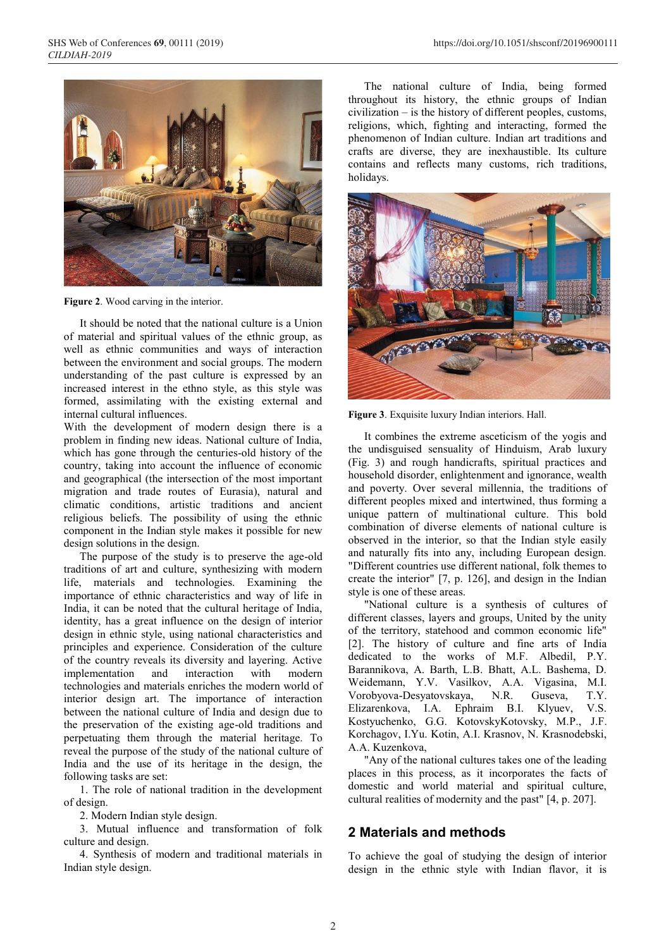

**Figure 2**. Wood carving in the interior.

It should be noted that the national culture is a Union of material and spiritual values of the ethnic group, as well as ethnic communities and ways of interaction between the environment and social groups. The modern understanding of the past culture is expressed by an increased interest in the ethno style, as this style was formed, assimilating with the existing external and internal cultural influences.

With the development of modern design there is a problem in finding new ideas. National culture of India, which has gone through the centuries-old history of the country, taking into account the influence of economic and geographical (the intersection of the most important migration and trade routes of Eurasia), natural and climatic conditions, artistic traditions and ancient religious beliefs. The possibility of using the ethnic component in the Indian style makes it possible for new design solutions in the design.

The purpose of the study is to preserve the age-old traditions of art and culture, synthesizing with modern life, materials and technologies. Examining the importance of ethnic characteristics and way of life in India, it can be noted that the cultural heritage of India, identity, has a great influence on the design of interior design in ethnic style, using national characteristics and principles and experience. Consideration of the culture of the country reveals its diversity and layering. Active implementation and interaction with modern technologies and materials enriches the modern world of interior design art. The importance of interaction between the national culture of India and design due to the preservation of the existing age-old traditions and perpetuating them through the material heritage. To reveal the purpose of the study of the national culture of India and the use of its heritage in the design, the following tasks are set:

1. The role of national tradition in the development of design.

2. Modern Indian style design.

3. Mutual influence and transformation of folk culture and design.

4. Synthesis of modern and traditional materials in Indian style design.

The national culture of India, being formed throughout its history, the ethnic groups of Indian civilization – is the history of different peoples, customs, religions, which, fighting and interacting, formed the phenomenon of Indian culture. Indian art traditions and crafts are diverse, they are inexhaustible. Its culture contains and reflects many customs, rich traditions, holidays.



**Figure 3**. Exquisite luxury Indian interiors. Hall.

It combines the extreme asceticism of the yogis and the undisguised sensuality of Hinduism, Arab luxury (Fig. 3) and rough handicrafts, spiritual practices and household disorder, enlightenment and ignorance, wealth and poverty. Over several millennia, the traditions of different peoples mixed and intertwined, thus forming a unique pattern of multinational culture. This bold combination of diverse elements of national culture is observed in the interior, so that the Indian style easily and naturally fits into any, including European design. "Different countries use different national, folk themes to create the interior" [7, p. 126], and design in the Indian style is one of these areas.

"National culture is a synthesis of cultures of different classes, layers and groups, United by the unity of the territory, statehood and common economic life" [2]. The history of culture and fine arts of India dedicated to the works of M.F. Albedil, P.Y. Barannikova, A. Barth, L.B. Bhatt, A.L. Bashema, D. Weidemann, Y.V. Vasilkov, A.A. Vigasina, M.I. Vorobyova-Desyatovskaya, N.R. Guseva, T.Y. Elizarenkova, I.A. Ephraim B.I. Klyuev, V.S. Kostyuchenko, G.G. KotovskyKotovsky, M.P., J.F. Korchagov, I.Yu. Kotin, A.I. Krasnov, N. Krasnodebski, A.A. Kuzenkova,

"Any of the national cultures takes one of the leading places in this process, as it incorporates the facts of domestic and world material and spiritual culture, cultural realities of modernity and the past" [4, p. 207].

#### **2 Materials and methods**

To achieve the goal of studying the design of interior design in the ethnic style with Indian flavor, it is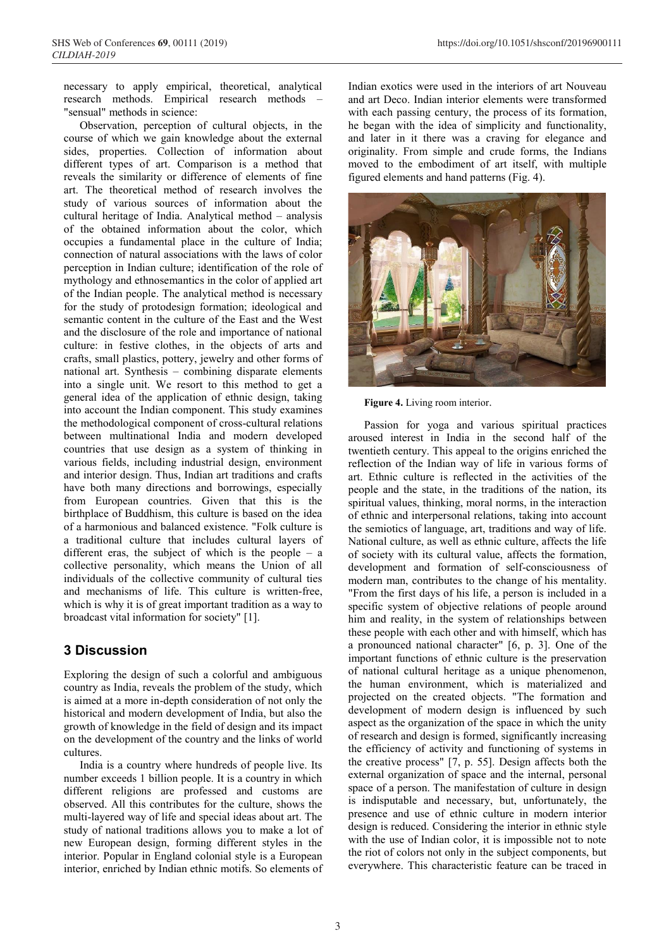necessary to apply empirical, theoretical, analytical research methods. Empirical research methods – "sensual" methods in science:

Observation, perception of cultural objects, in the course of which we gain knowledge about the external sides, properties. Collection of information about different types of art. Comparison is a method that reveals the similarity or difference of elements of fine art. The theoretical method of research involves the study of various sources of information about the cultural heritage of India. Analytical method – analysis of the obtained information about the color, which occupies a fundamental place in the culture of India; connection of natural associations with the laws of color perception in Indian culture; identification of the role of mythology and ethnosemantics in the color of applied art of the Indian people. The analytical method is necessary for the study of protodesign formation; ideological and semantic content in the culture of the East and the West and the disclosure of the role and importance of national culture: in festive clothes, in the objects of arts and crafts, small plastics, pottery, jewelry and other forms of national art. Synthesis – combining disparate elements into a single unit. We resort to this method to get a general idea of the application of ethnic design, taking into account the Indian component. This study examines the methodological component of cross-cultural relations between multinational India and modern developed countries that use design as a system of thinking in various fields, including industrial design, environment and interior design. Thus, Indian art traditions and crafts have both many directions and borrowings, especially from European countries. Given that this is the birthplace of Buddhism, this culture is based on the idea of a harmonious and balanced existence. "Folk culture is a traditional culture that includes cultural layers of different eras, the subject of which is the people  $-$  a collective personality, which means the Union of all individuals of the collective community of cultural ties and mechanisms of life. This culture is written-free, which is why it is of great important tradition as a way to broadcast vital information for society" [1].

### **3 Discussion**

Exploring the design of such a colorful and ambiguous country as India, reveals the problem of the study, which is aimed at a more in-depth consideration of not only the historical and modern development of India, but also the growth of knowledge in the field of design and its impact on the development of the country and the links of world cultures.

India is a country where hundreds of people live. Its number exceeds 1 billion people. It is a country in which different religions are professed and customs are observed. All this contributes for the culture, shows the multi-layered way of life and special ideas about art. The study of national traditions allows you to make a lot of new European design, forming different styles in the interior. Popular in England colonial style is a European interior, enriched by Indian ethnic motifs. So elements of Indian exotics were used in the interiors of art Nouveau and art Deco. Indian interior elements were transformed with each passing century, the process of its formation, he began with the idea of simplicity and functionality, and later in it there was a craving for elegance and originality. From simple and crude forms, the Indians moved to the embodiment of art itself, with multiple figured elements and hand patterns (Fig. 4).



**Figure 4.** Living room interior.

Passion for yoga and various spiritual practices aroused interest in India in the second half of the twentieth century. This appeal to the origins enriched the reflection of the Indian way of life in various forms of art. Ethnic culture is reflected in the activities of the people and the state, in the traditions of the nation, its spiritual values, thinking, moral norms, in the interaction of ethnic and interpersonal relations, taking into account the semiotics of language, art, traditions and way of life. National culture, as well as ethnic culture, affects the life of society with its cultural value, affects the formation, development and formation of self-consciousness of modern man, contributes to the change of his mentality. "From the first days of his life, a person is included in a specific system of objective relations of people around him and reality, in the system of relationships between these people with each other and with himself, which has a pronounced national character" [6, p. 3]. One of the important functions of ethnic culture is the preservation of national cultural heritage as a unique phenomenon, the human environment, which is materialized and projected on the created objects. "The formation and development of modern design is influenced by such aspect as the organization of the space in which the unity of research and design is formed, significantly increasing the efficiency of activity and functioning of systems in the creative process" [7, p. 55]. Design affects both the external organization of space and the internal, personal space of a person. The manifestation of culture in design is indisputable and necessary, but, unfortunately, the presence and use of ethnic culture in modern interior design is reduced. Considering the interior in ethnic style with the use of Indian color, it is impossible not to note the riot of colors not only in the subject components, but everywhere. This characteristic feature can be traced in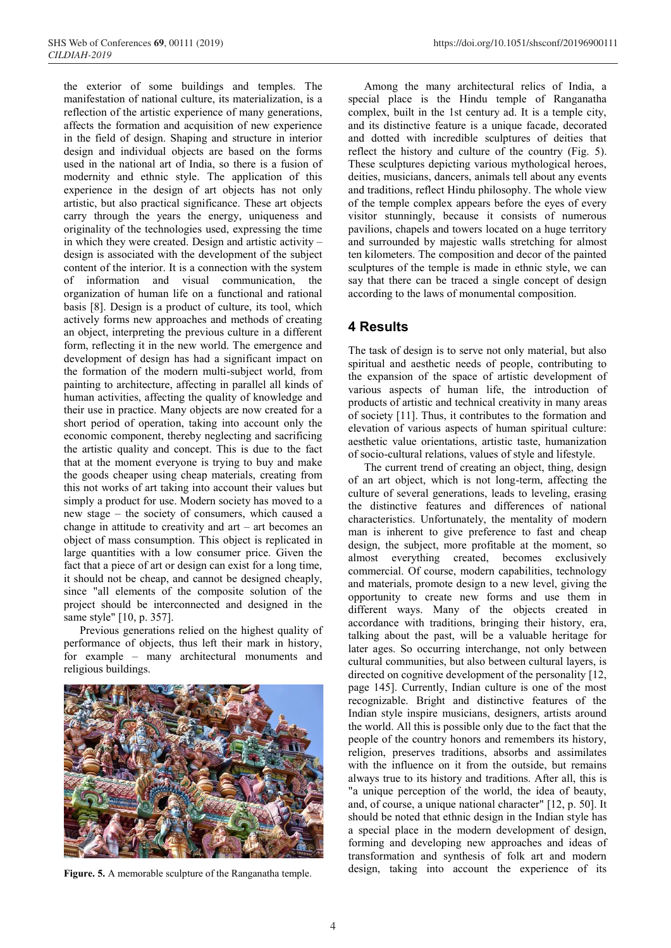the exterior of some buildings and temples. The manifestation of national culture, its materialization, is a reflection of the artistic experience of many generations, affects the formation and acquisition of new experience in the field of design. Shaping and structure in interior design and individual objects are based on the forms used in the national art of India, so there is a fusion of modernity and ethnic style. The application of this experience in the design of art objects has not only artistic, but also practical significance. These art objects carry through the years the energy, uniqueness and originality of the technologies used, expressing the time in which they were created. Design and artistic activity – design is associated with the development of the subject content of the interior. It is a connection with the system of information and visual communication, the organization of human life on a functional and rational basis [8]. Design is a product of culture, its tool, which actively forms new approaches and methods of creating an object, interpreting the previous culture in a different form, reflecting it in the new world. The emergence and development of design has had a significant impact on the formation of the modern multi-subject world, from painting to architecture, affecting in parallel all kinds of human activities, affecting the quality of knowledge and their use in practice. Many objects are now created for a short period of operation, taking into account only the economic component, thereby neglecting and sacrificing the artistic quality and concept. This is due to the fact that at the moment everyone is trying to buy and make the goods cheaper using cheap materials, creating from this not works of art taking into account their values but simply a product for use. Modern society has moved to a new stage – the society of consumers, which caused a change in attitude to creativity and art – art becomes an object of mass consumption. This object is replicated in large quantities with a low consumer price. Given the fact that a piece of art or design can exist for a long time, it should not be cheap, and cannot be designed cheaply, since "all elements of the composite solution of the project should be interconnected and designed in the same style" [10, p. 357].

Previous generations relied on the highest quality of performance of objects, thus left their mark in history, for example – many architectural monuments and religious buildings.



**Figure. 5.** A memorable sculpture of the Ranganatha temple.

Among the many architectural relics of India, a special place is the Hindu temple of Ranganatha complex, built in the 1st century ad. It is a temple city, and its distinctive feature is a unique facade, decorated and dotted with incredible sculptures of deities that reflect the history and culture of the country (Fig. 5). These sculptures depicting various mythological heroes, deities, musicians, dancers, animals tell about any events and traditions, reflect Hindu philosophy. The whole view of the temple complex appears before the eyes of every visitor stunningly, because it consists of numerous pavilions, chapels and towers located on a huge territory and surrounded by majestic walls stretching for almost ten kilometers. The composition and decor of the painted sculptures of the temple is made in ethnic style, we can say that there can be traced a single concept of design according to the laws of monumental composition.

#### **4 Results**

The task of design is to serve not only material, but also spiritual and aesthetic needs of people, contributing to the expansion of the space of artistic development of various aspects of human life, the introduction of products of artistic and technical creativity in many areas of society [11]. Thus, it contributes to the formation and elevation of various aspects of human spiritual culture: aesthetic value orientations, artistic taste, humanization of socio-cultural relations, values of style and lifestyle.

The current trend of creating an object, thing, design of an art object, which is not long-term, affecting the culture of several generations, leads to leveling, erasing the distinctive features and differences of national characteristics. Unfortunately, the mentality of modern man is inherent to give preference to fast and cheap design, the subject, more profitable at the moment, so almost everything created, becomes exclusively commercial. Of course, modern capabilities, technology and materials, promote design to a new level, giving the opportunity to create new forms and use them in different ways. Many of the objects created in accordance with traditions, bringing their history, era, talking about the past, will be a valuable heritage for later ages. So occurring interchange, not only between cultural communities, but also between cultural layers, is directed on cognitive development of the personality [12, page 145]. Currently, Indian culture is one of the most recognizable. Bright and distinctive features of the Indian style inspire musicians, designers, artists around the world. All this is possible only due to the fact that the people of the country honors and remembers its history, religion, preserves traditions, absorbs and assimilates with the influence on it from the outside, but remains always true to its history and traditions. After all, this is "a unique perception of the world, the idea of beauty, and, of course, a unique national character" [12, p. 50]. It should be noted that ethnic design in the Indian style has a special place in the modern development of design, forming and developing new approaches and ideas of transformation and synthesis of folk art and modern design, taking into account the experience of its